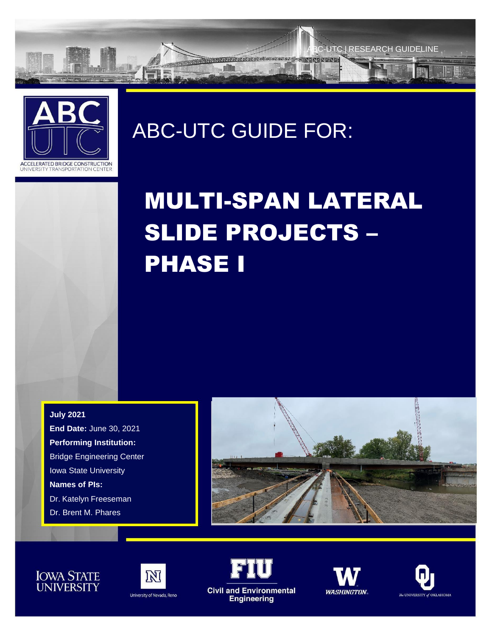



## ABC-UTC GUIDE FOR:

# MULTI-SPAN LATERAL SLIDE PROJECTS – PHASE I

**July 2021 End Date:** June 30, 2021 **Performing Institution:** Bridge Engineering Center Iowa State University **Names of PIs:** Dr. Katelyn Freeseman Dr. Brent M. Phares







University of Nevada, Reno





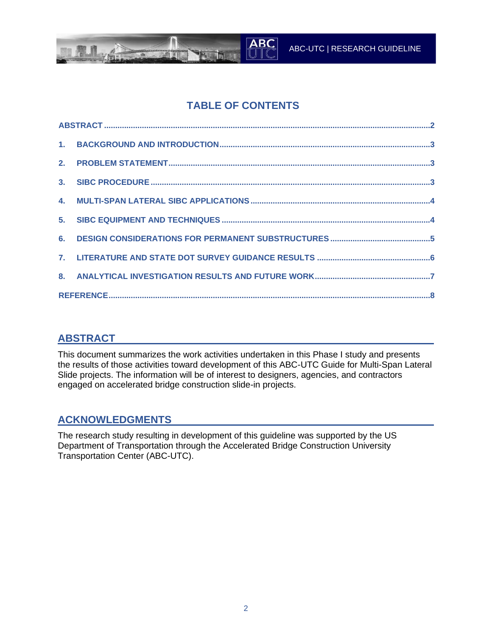## **TABLE OF CONTENTS**

**TRL** 

TN JE

*<u>MANS ANTIQUE</u>* 

## **ABSTRACT**

This document summarizes the work activities undertaken in this Phase I study and presents the results of those activities toward development of this ABC-UTC Guide for Multi-Span Lateral Slide projects. The information will be of interest to designers, agencies, and contractors engaged on accelerated bridge construction slide-in projects.

## **ACKNOWLEDGMENTS**

The research study resulting in development of this guideline was supported by the US Department of Transportation through the Accelerated Bridge Construction University Transportation Center (ABC-UTC).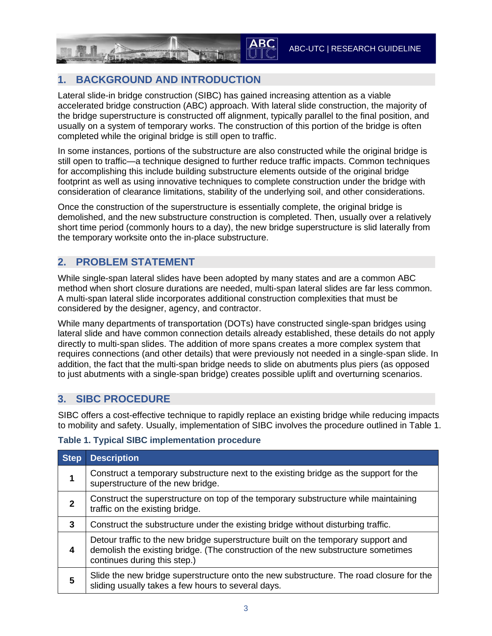## **1. BACKGROUND AND INTRODUCTION**

Lateral slide-in bridge construction (SIBC) has gained increasing attention as a viable accelerated bridge construction (ABC) approach. With lateral slide construction, the majority of the bridge superstructure is constructed off alignment, typically parallel to the final position, and usually on a system of temporary works. The construction of this portion of the bridge is often completed while the original bridge is still open to traffic.

In some instances, portions of the substructure are also constructed while the original bridge is still open to traffic—a technique designed to further reduce traffic impacts. Common techniques for accomplishing this include building substructure elements outside of the original bridge footprint as well as using innovative techniques to complete construction under the bridge with consideration of clearance limitations, stability of the underlying soil, and other considerations.

Once the construction of the superstructure is essentially complete, the original bridge is demolished, and the new substructure construction is completed. Then, usually over a relatively short time period (commonly hours to a day), the new bridge superstructure is slid laterally from the temporary worksite onto the in-place substructure.

## **2. PROBLEM STATEMENT**

While single-span lateral slides have been adopted by many states and are a common ABC method when short closure durations are needed, multi-span lateral slides are far less common. A multi-span lateral slide incorporates additional construction complexities that must be considered by the designer, agency, and contractor.

While many departments of transportation (DOTs) have constructed single-span bridges using lateral slide and have common connection details already established, these details do not apply directly to multi-span slides. The addition of more spans creates a more complex system that requires connections (and other details) that were previously not needed in a single-span slide. In addition, the fact that the multi-span bridge needs to slide on abutments plus piers (as opposed to just abutments with a single-span bridge) creates possible uplift and overturning scenarios.

## **3. SIBC PROCEDURE**

SIBC offers a cost-effective technique to rapidly replace an existing bridge while reducing impacts to mobility and safety. Usually, implementation of SIBC involves the procedure outlined in Table 1.

#### **Table 1. Typical SIBC implementation procedure**

| <b>Step</b>  | <b>Description</b>                                                                                                                                                                                      |  |
|--------------|---------------------------------------------------------------------------------------------------------------------------------------------------------------------------------------------------------|--|
| 1            | Construct a temporary substructure next to the existing bridge as the support for the<br>superstructure of the new bridge.                                                                              |  |
| $\mathbf{2}$ | Construct the superstructure on top of the temporary substructure while maintaining<br>traffic on the existing bridge.                                                                                  |  |
| 3            | Construct the substructure under the existing bridge without disturbing traffic.                                                                                                                        |  |
| 4            | Detour traffic to the new bridge superstructure built on the temporary support and<br>demolish the existing bridge. (The construction of the new substructure sometimes<br>continues during this step.) |  |
| 5            | Slide the new bridge superstructure onto the new substructure. The road closure for the<br>sliding usually takes a few hours to several days.                                                           |  |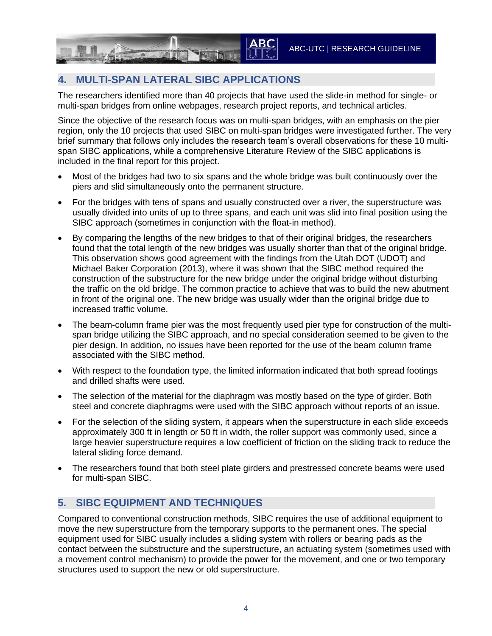## **4. MULTI-SPAN LATERAL SIBC APPLICATIONS**

The researchers identified more than 40 projects that have used the slide-in method for single- or multi-span bridges from online webpages, research project reports, and technical articles.

Since the objective of the research focus was on multi-span bridges, with an emphasis on the pier region, only the 10 projects that used SIBC on multi-span bridges were investigated further. The very brief summary that follows only includes the research team's overall observations for these 10 multispan SIBC applications, while a comprehensive Literature Review of the SIBC applications is included in the final report for this project.

- Most of the bridges had two to six spans and the whole bridge was built continuously over the piers and slid simultaneously onto the permanent structure.
- For the bridges with tens of spans and usually constructed over a river, the superstructure was usually divided into units of up to three spans, and each unit was slid into final position using the SIBC approach (sometimes in conjunction with the float-in method).
- By comparing the lengths of the new bridges to that of their original bridges, the researchers found that the total length of the new bridges was usually shorter than that of the original bridge. This observation shows good agreement with the findings from the Utah DOT (UDOT) and Michael Baker Corporation (2013), where it was shown that the SIBC method required the construction of the substructure for the new bridge under the original bridge without disturbing the traffic on the old bridge. The common practice to achieve that was to build the new abutment in front of the original one. The new bridge was usually wider than the original bridge due to increased traffic volume.
- The beam-column frame pier was the most frequently used pier type for construction of the multispan bridge utilizing the SIBC approach, and no special consideration seemed to be given to the pier design. In addition, no issues have been reported for the use of the beam column frame associated with the SIBC method.
- With respect to the foundation type, the limited information indicated that both spread footings and drilled shafts were used.
- The selection of the material for the diaphragm was mostly based on the type of girder. Both steel and concrete diaphragms were used with the SIBC approach without reports of an issue.
- For the selection of the sliding system, it appears when the superstructure in each slide exceeds approximately 300 ft in length or 50 ft in width, the roller support was commonly used, since a large heavier superstructure requires a low coefficient of friction on the sliding track to reduce the lateral sliding force demand.
- The researchers found that both steel plate girders and prestressed concrete beams were used for multi-span SIBC.

## **5. SIBC EQUIPMENT AND TECHNIQUES**

Compared to conventional construction methods, SIBC requires the use of additional equipment to move the new superstructure from the temporary supports to the permanent ones. The special equipment used for SIBC usually includes a sliding system with rollers or bearing pads as the contact between the substructure and the superstructure, an actuating system (sometimes used with a movement control mechanism) to provide the power for the movement, and one or two temporary structures used to support the new or old superstructure.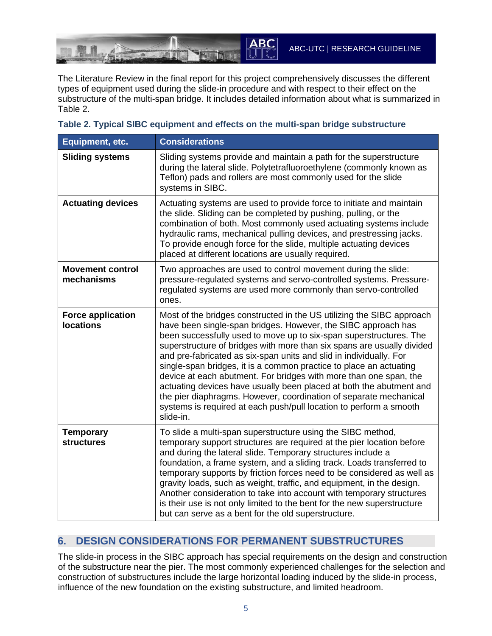ABC-UTC | RESEARCH GUIDELINE

The Literature Review in the final report for this project comprehensively discusses the different types of equipment used during the slide-in procedure and with respect to their effect on the substructure of the multi-span bridge. It includes detailed information about what is summarized in Table 2.

**ABC** 

| Equipment, etc.                              | <b>Considerations</b>                                                                                                                                                                                                                                                                                                                                                                                                                                                                                                                                                                                                                                                                                                                  |
|----------------------------------------------|----------------------------------------------------------------------------------------------------------------------------------------------------------------------------------------------------------------------------------------------------------------------------------------------------------------------------------------------------------------------------------------------------------------------------------------------------------------------------------------------------------------------------------------------------------------------------------------------------------------------------------------------------------------------------------------------------------------------------------------|
| <b>Sliding systems</b>                       | Sliding systems provide and maintain a path for the superstructure<br>during the lateral slide. Polytetrafluoroethylene (commonly known as<br>Teflon) pads and rollers are most commonly used for the slide<br>systems in SIBC.                                                                                                                                                                                                                                                                                                                                                                                                                                                                                                        |
| <b>Actuating devices</b>                     | Actuating systems are used to provide force to initiate and maintain<br>the slide. Sliding can be completed by pushing, pulling, or the<br>combination of both. Most commonly used actuating systems include<br>hydraulic rams, mechanical pulling devices, and prestressing jacks.<br>To provide enough force for the slide, multiple actuating devices<br>placed at different locations are usually required.                                                                                                                                                                                                                                                                                                                        |
| <b>Movement control</b><br>mechanisms        | Two approaches are used to control movement during the slide:<br>pressure-regulated systems and servo-controlled systems. Pressure-<br>regulated systems are used more commonly than servo-controlled<br>ones.                                                                                                                                                                                                                                                                                                                                                                                                                                                                                                                         |
| <b>Force application</b><br><b>locations</b> | Most of the bridges constructed in the US utilizing the SIBC approach<br>have been single-span bridges. However, the SIBC approach has<br>been successfully used to move up to six-span superstructures. The<br>superstructure of bridges with more than six spans are usually divided<br>and pre-fabricated as six-span units and slid in individually. For<br>single-span bridges, it is a common practice to place an actuating<br>device at each abutment. For bridges with more than one span, the<br>actuating devices have usually been placed at both the abutment and<br>the pier diaphragms. However, coordination of separate mechanical<br>systems is required at each push/pull location to perform a smooth<br>slide-in. |
| <b>Temporary</b><br><b>structures</b>        | To slide a multi-span superstructure using the SIBC method,<br>temporary support structures are required at the pier location before<br>and during the lateral slide. Temporary structures include a<br>foundation, a frame system, and a sliding track. Loads transferred to<br>temporary supports by friction forces need to be considered as well as<br>gravity loads, such as weight, traffic, and equipment, in the design.<br>Another consideration to take into account with temporary structures<br>is their use is not only limited to the bent for the new superstructure<br>but can serve as a bent for the old superstructure.                                                                                             |

#### **Table 2. Typical SIBC equipment and effects on the multi-span bridge substructure**

#### **6. DESIGN CONSIDERATIONS FOR PERMANENT SUBSTRUCTURES**

The slide-in process in the SIBC approach has special requirements on the design and construction of the substructure near the pier. The most commonly experienced challenges for the selection and construction of substructures include the large horizontal loading induced by the slide-in process, influence of the new foundation on the existing substructure, and limited headroom.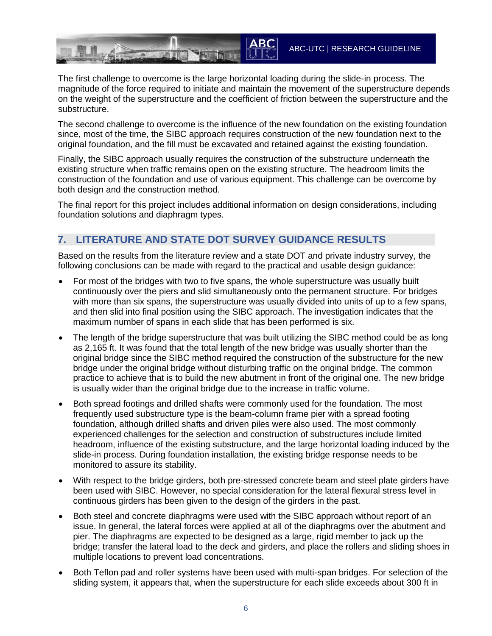ABC-UTC | RESEARCH GUIDELINE

The first challenge to overcome is the large horizontal loading during the slide-in process. The magnitude of the force required to initiate and maintain the movement of the superstructure depends on the weight of the superstructure and the coefficient of friction between the superstructure and the substructure.

The second challenge to overcome is the influence of the new foundation on the existing foundation since, most of the time, the SIBC approach requires construction of the new foundation next to the original foundation, and the fill must be excavated and retained against the existing foundation.

Finally, the SIBC approach usually requires the construction of the substructure underneath the existing structure when traffic remains open on the existing structure. The headroom limits the construction of the foundation and use of various equipment. This challenge can be overcome by both design and the construction method.

The final report for this project includes additional information on design considerations, including foundation solutions and diaphragm types.

## **7. LITERATURE AND STATE DOT SURVEY GUIDANCE RESULTS**

Based on the results from the literature review and a state DOT and private industry survey, the following conclusions can be made with regard to the practical and usable design guidance:

- For most of the bridges with two to five spans, the whole superstructure was usually built continuously over the piers and slid simultaneously onto the permanent structure. For bridges with more than six spans, the superstructure was usually divided into units of up to a few spans, and then slid into final position using the SIBC approach. The investigation indicates that the maximum number of spans in each slide that has been performed is six.
- The length of the bridge superstructure that was built utilizing the SIBC method could be as long as 2,165 ft. It was found that the total length of the new bridge was usually shorter than the original bridge since the SIBC method required the construction of the substructure for the new bridge under the original bridge without disturbing traffic on the original bridge. The common practice to achieve that is to build the new abutment in front of the original one. The new bridge is usually wider than the original bridge due to the increase in traffic volume.
- Both spread footings and drilled shafts were commonly used for the foundation. The most frequently used substructure type is the beam-column frame pier with a spread footing foundation, although drilled shafts and driven piles were also used. The most commonly experienced challenges for the selection and construction of substructures include limited headroom, influence of the existing substructure, and the large horizontal loading induced by the slide-in process. During foundation installation, the existing bridge response needs to be monitored to assure its stability.
- With respect to the bridge girders, both pre-stressed concrete beam and steel plate girders have been used with SIBC. However, no special consideration for the lateral flexural stress level in continuous girders has been given to the design of the girders in the past.
- Both steel and concrete diaphragms were used with the SIBC approach without report of an issue. In general, the lateral forces were applied at all of the diaphragms over the abutment and pier. The diaphragms are expected to be designed as a large, rigid member to jack up the bridge; transfer the lateral load to the deck and girders, and place the rollers and sliding shoes in multiple locations to prevent load concentrations.
- Both Teflon pad and roller systems have been used with multi-span bridges. For selection of the sliding system, it appears that, when the superstructure for each slide exceeds about 300 ft in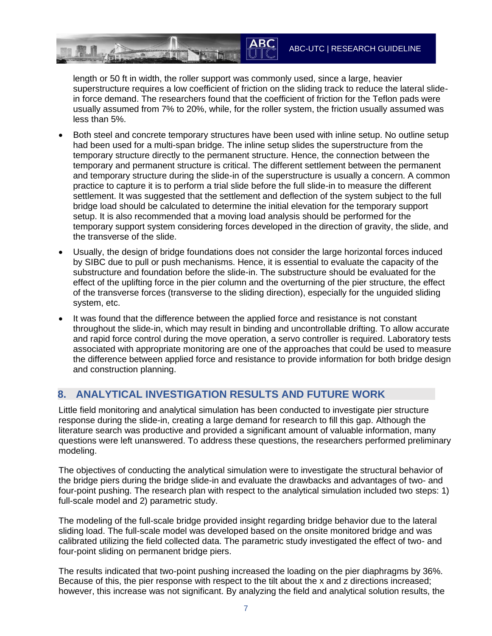length or 50 ft in width, the roller support was commonly used, since a large, heavier superstructure requires a low coefficient of friction on the sliding track to reduce the lateral slidein force demand. The researchers found that the coefficient of friction for the Teflon pads were usually assumed from 7% to 20%, while, for the roller system, the friction usually assumed was less than 5%.

**ABC** 

ABC-UTC | RESEARCH GUIDELINE

- Both steel and concrete temporary structures have been used with inline setup. No outline setup had been used for a multi-span bridge. The inline setup slides the superstructure from the temporary structure directly to the permanent structure. Hence, the connection between the temporary and permanent structure is critical. The different settlement between the permanent and temporary structure during the slide-in of the superstructure is usually a concern. A common practice to capture it is to perform a trial slide before the full slide-in to measure the different settlement. It was suggested that the settlement and deflection of the system subject to the full bridge load should be calculated to determine the initial elevation for the temporary support setup. It is also recommended that a moving load analysis should be performed for the temporary support system considering forces developed in the direction of gravity, the slide, and the transverse of the slide.
- Usually, the design of bridge foundations does not consider the large horizontal forces induced by SIBC due to pull or push mechanisms. Hence, it is essential to evaluate the capacity of the substructure and foundation before the slide-in. The substructure should be evaluated for the effect of the uplifting force in the pier column and the overturning of the pier structure, the effect of the transverse forces (transverse to the sliding direction), especially for the unguided sliding system, etc.
- It was found that the difference between the applied force and resistance is not constant throughout the slide-in, which may result in binding and uncontrollable drifting. To allow accurate and rapid force control during the move operation, a servo controller is required. Laboratory tests associated with appropriate monitoring are one of the approaches that could be used to measure the difference between applied force and resistance to provide information for both bridge design and construction planning.

## **8. ANALYTICAL INVESTIGATION RESULTS AND FUTURE WORK**

Little field monitoring and analytical simulation has been conducted to investigate pier structure response during the slide-in, creating a large demand for research to fill this gap. Although the literature search was productive and provided a significant amount of valuable information, many questions were left unanswered. To address these questions, the researchers performed preliminary modeling.

The objectives of conducting the analytical simulation were to investigate the structural behavior of the bridge piers during the bridge slide-in and evaluate the drawbacks and advantages of two- and four-point pushing. The research plan with respect to the analytical simulation included two steps: 1) full-scale model and 2) parametric study.

The modeling of the full-scale bridge provided insight regarding bridge behavior due to the lateral sliding load. The full-scale model was developed based on the onsite monitored bridge and was calibrated utilizing the field collected data. The parametric study investigated the effect of two- and four-point sliding on permanent bridge piers.

The results indicated that two-point pushing increased the loading on the pier diaphragms by 36%. Because of this, the pier response with respect to the tilt about the x and z directions increased; however, this increase was not significant. By analyzing the field and analytical solution results, the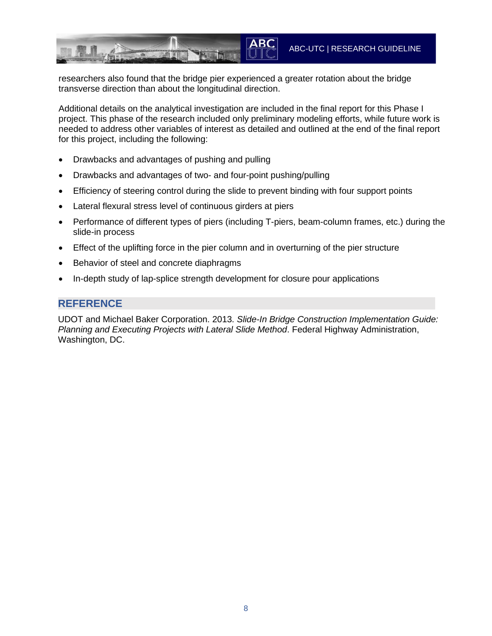researchers also found that the bridge pier experienced a greater rotation about the bridge transverse direction than about the longitudinal direction.

Additional details on the analytical investigation are included in the final report for this Phase I project. This phase of the research included only preliminary modeling efforts, while future work is needed to address other variables of interest as detailed and outlined at the end of the final report for this project, including the following:

- Drawbacks and advantages of pushing and pulling
- Drawbacks and advantages of two- and four-point pushing/pulling
- Efficiency of steering control during the slide to prevent binding with four support points
- Lateral flexural stress level of continuous girders at piers
- Performance of different types of piers (including T-piers, beam-column frames, etc.) during the slide-in process
- Effect of the uplifting force in the pier column and in overturning of the pier structure
- Behavior of steel and concrete diaphragms
- In-depth study of lap-splice strength development for closure pour applications

#### **REFERENCE**

UDOT and Michael Baker Corporation. 2013. *Slide-In Bridge Construction Implementation Guide: Planning and Executing Projects with Lateral Slide Method*. Federal Highway Administration, Washington, DC.